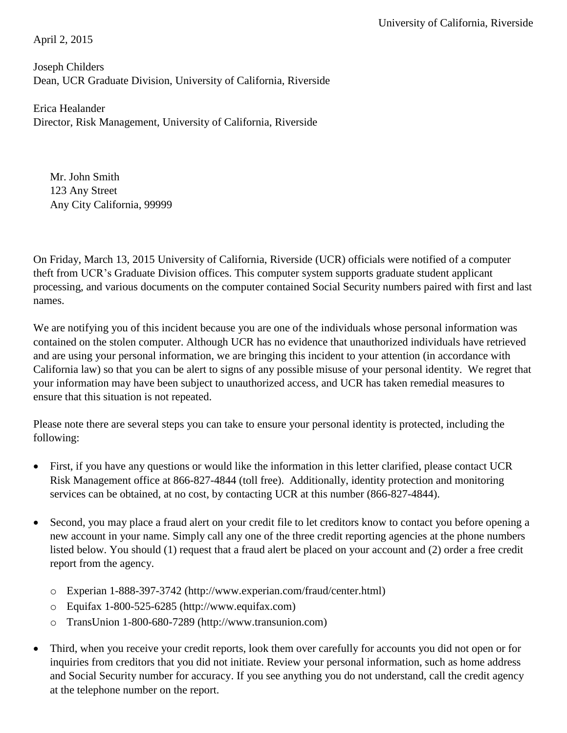April 2, 2015

Joseph Childers Dean, UCR Graduate Division, University of California, Riverside

Erica Healander Director, Risk Management, University of California, Riverside

Mr. John Smith 123 Any Street Any City California, 99999

On Friday, March 13, 2015 University of California, Riverside (UCR) officials were notified of a computer theft from UCR's Graduate Division offices. This computer system supports graduate student applicant processing, and various documents on the computer contained Social Security numbers paired with first and last names.

We are notifying you of this incident because you are one of the individuals whose personal information was contained on the stolen computer. Although UCR has no evidence that unauthorized individuals have retrieved and are using your personal information, we are bringing this incident to your attention (in accordance with California law) so that you can be alert to signs of any possible misuse of your personal identity. We regret that your information may have been subject to unauthorized access, and UCR has taken remedial measures to ensure that this situation is not repeated.

Please note there are several steps you can take to ensure your personal identity is protected, including the following:

- First, if you have any questions or would like the information in this letter clarified, please contact UCR Risk Management office at 866-827-4844 (toll free). Additionally, identity protection and monitoring services can be obtained, at no cost, by contacting UCR at this number (866-827-4844).
- Second, you may place a fraud alert on your credit file to let creditors know to contact you before opening a new account in your name. Simply call any one of the three credit reporting agencies at the phone numbers listed below. You should (1) request that a fraud alert be placed on your account and (2) order a free credit report from the agency.
	- o Experian 1-888-397-3742 (http://www[.experian.com/fraud/center.html\)](https://www.experian.com/fraud/center.html)
	- $\degree$  Equifax 1-800-525-6285 (http://www.equifax.com)
	- o TransUnion 1-800-680-7289 (http://www[.transunion.com\)](http://www.transunion.com/)
- Third, when you receive your credit reports, look them over carefully for accounts you did not open or for inquiries from creditors that you did not initiate. Review your personal information, such as home address and Social Security number for accuracy. If you see anything you do not understand, call the credit agency at the telephone number on the report.